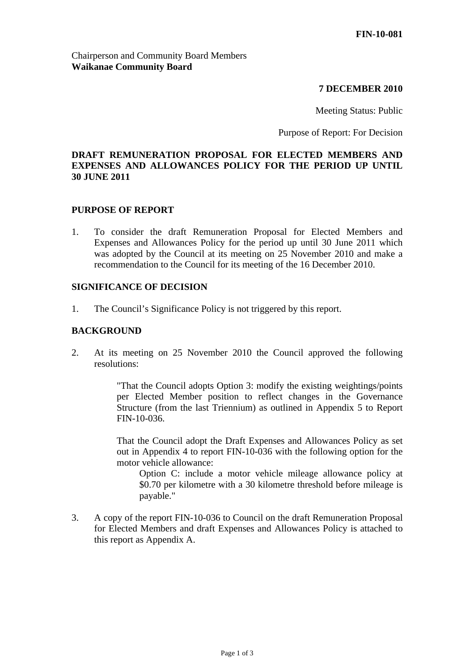### **7 DECEMBER 2010**

Meeting Status: Public

Purpose of Report: For Decision

# **DRAFT REMUNERATION PROPOSAL FOR ELECTED MEMBERS AND EXPENSES AND ALLOWANCES POLICY FOR THE PERIOD UP UNTIL 30 JUNE 2011**

#### **PURPOSE OF REPORT**

1. To consider the draft Remuneration Proposal for Elected Members and Expenses and Allowances Policy for the period up until 30 June 2011 which was adopted by the Council at its meeting on 25 November 2010 and make a recommendation to the Council for its meeting of the 16 December 2010.

#### **SIGNIFICANCE OF DECISION**

1. The Council's Significance Policy is not triggered by this report.

#### **BACKGROUND**

2. At its meeting on 25 November 2010 the Council approved the following resolutions:

> "That the Council adopts Option 3: modify the existing weightings/points per Elected Member position to reflect changes in the Governance Structure (from the last Triennium) as outlined in Appendix 5 to Report FIN-10-036.

> That the Council adopt the Draft Expenses and Allowances Policy as set out in Appendix 4 to report FIN-10-036 with the following option for the motor vehicle allowance:

Option C: include a motor vehicle mileage allowance policy at \$0.70 per kilometre with a 30 kilometre threshold before mileage is payable."

3. A copy of the report FIN-10-036 to Council on the draft Remuneration Proposal for Elected Members and draft Expenses and Allowances Policy is attached to this report as Appendix A.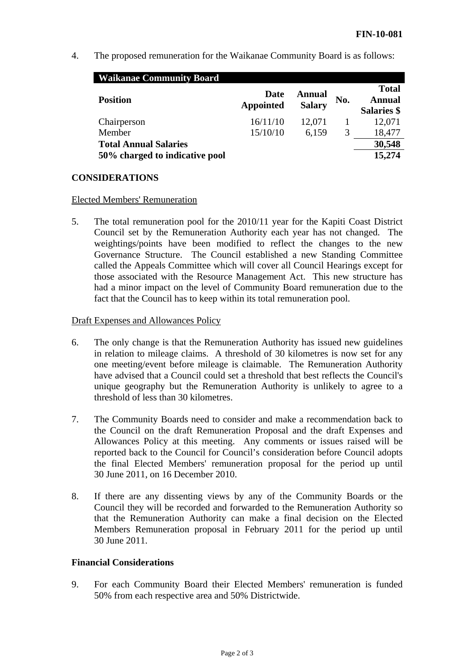4. The proposed remuneration for the Waikanae Community Board is as follows:

| <b>Waikanae Community Board</b> |                          |                         |     |                                              |
|---------------------------------|--------------------------|-------------------------|-----|----------------------------------------------|
| <b>Position</b>                 | Date<br><b>Appointed</b> | Annual<br><b>Salary</b> | No. | <b>Total</b><br>Annual<br><b>Salaries</b> \$ |
| Chairperson                     | 16/11/10                 | 12,071                  |     | 12,071                                       |
| Member                          | 15/10/10                 | 6,159                   | 3   | 18,477                                       |
| <b>Total Annual Salaries</b>    |                          |                         |     | 30,548                                       |
| 50% charged to indicative pool  |                          |                         |     | 15,274                                       |

# **CONSIDERATIONS**

#### Elected Members' Remuneration

5. The total remuneration pool for the 2010/11 year for the Kapiti Coast District Council set by the Remuneration Authority each year has not changed. The weightings/points have been modified to reflect the changes to the new Governance Structure. The Council established a new Standing Committee called the Appeals Committee which will cover all Council Hearings except for those associated with the Resource Management Act. This new structure has had a minor impact on the level of Community Board remuneration due to the fact that the Council has to keep within its total remuneration pool.

# Draft Expenses and Allowances Policy

- 6. The only change is that the Remuneration Authority has issued new guidelines in relation to mileage claims. A threshold of 30 kilometres is now set for any one meeting/event before mileage is claimable. The Remuneration Authority have advised that a Council could set a threshold that best reflects the Council's unique geography but the Remuneration Authority is unlikely to agree to a threshold of less than 30 kilometres.
- 7. The Community Boards need to consider and make a recommendation back to the Council on the draft Remuneration Proposal and the draft Expenses and Allowances Policy at this meeting. Any comments or issues raised will be reported back to the Council for Council's consideration before Council adopts the final Elected Members' remuneration proposal for the period up until 30 June 2011, on 16 December 2010.
- 8. If there are any dissenting views by any of the Community Boards or the Council they will be recorded and forwarded to the Remuneration Authority so that the Remuneration Authority can make a final decision on the Elected Members Remuneration proposal in February 2011 for the period up until 30 June 2011.

### **Financial Considerations**

9. For each Community Board their Elected Members' remuneration is funded 50% from each respective area and 50% Districtwide.